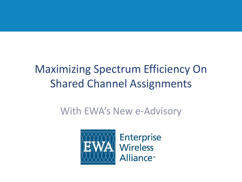# Maximizing Spectrum Efficiency On Shared Channel Assignments

#### With EWA's New e-Advisory



**Enterprise Wireless Alliance**<sup>®</sup>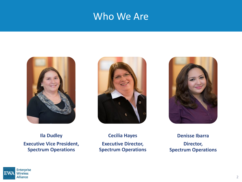#### Who We Are







**Ila Dudley Executive Vice President, Spectrum Operations**

**Cecilia Hayes Executive Director, Spectrum Operations**

**Denisse Ibarra Director, Spectrum Operations**

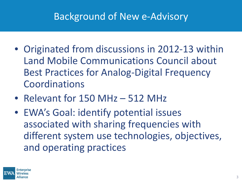#### Background of New e-Advisory

- Originated from discussions in 2012-13 within Land Mobile Communications Council about Best Practices for Analog-Digital Frequency Coordinations
- Relevant for 150 MHz 512 MHz
- EWA's Goal: identify potential issues associated with sharing frequencies with different system use technologies, objectives, and operating practices

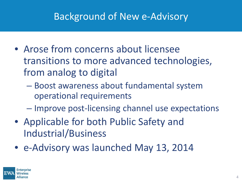### Background of New e-Advisory

- Arose from concerns about licensee transitions to more advanced technologies, from analog to digital
	- Boost awareness about fundamental system operational requirements
	- Improve post-licensing channel use expectations
- Applicable for both Public Safety and Industrial/Business
- e-Advisory was launched May 13, 2014

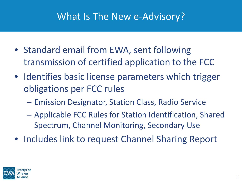#### What Is The New e-Advisory?

- Standard email from EWA, sent following transmission of certified application to the FCC
- Identifies basic license parameters which trigger obligations per FCC rules
	- Emission Designator, Station Class, Radio Service
	- Applicable FCC Rules for Station Identification, Shared Spectrum, Channel Monitoring, Secondary Use
- Includes link to request Channel Sharing Report

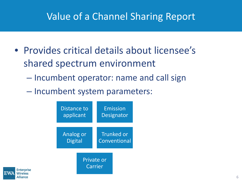### Value of a Channel Sharing Report

- Provides critical details about licensee's shared spectrum environment
	- Incumbent operator: name and call sign
	- Incumbent system parameters:



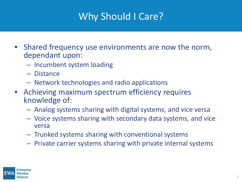## Why Should I Care?

- Shared frequency use environments are now the norm, dependant upon:
	- Incumbent system loading
	- Distance
	- Network technologies and radio applications
- Achieving maximum spectrum efficiency requires knowledge of:
	- Analog systems sharing with digital systems, and vice versa
	- Voice systems sharing with secondary data systems, and vice versa
	- Trunked systems sharing with conventional systems
	- Private carrier systems sharing with private internal systems

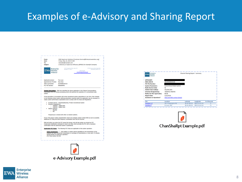#### Examples of e-Advisory and Sharing Report



e-Advisory Example.pdf